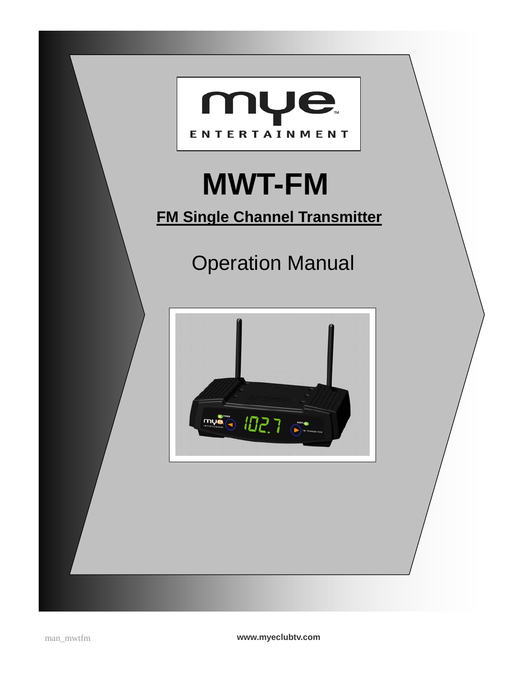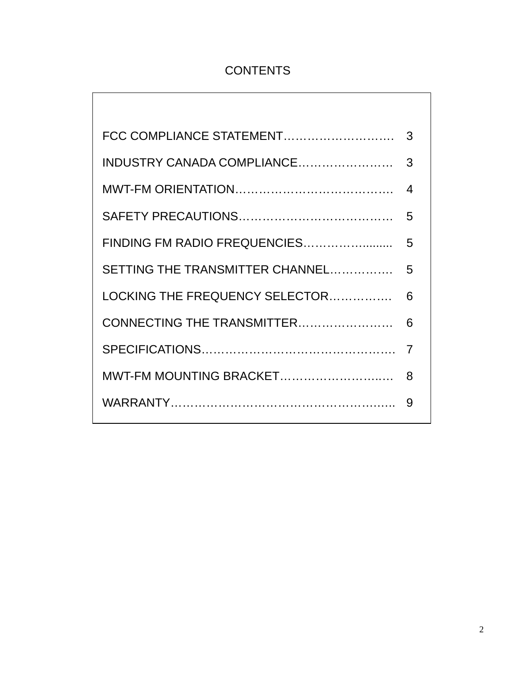# **CONTENTS**

| FCC COMPLIANCE STATEMENT        | 3 |
|---------------------------------|---|
| INDUSTRY CANADA COMPLIANCE      | 3 |
|                                 | 4 |
|                                 | 5 |
| FINDING FM RADIO FREQUENCIES    | 5 |
| SETTING THE TRANSMITTER CHANNEL | 5 |
| LOCKING THE FREQUENCY SELECTOR  | 6 |
| CONNECTING THE TRANSMITTER      | 6 |
|                                 | 7 |
| MWT-FM MOUNTING BRACKET         | 8 |
|                                 | 9 |
|                                 |   |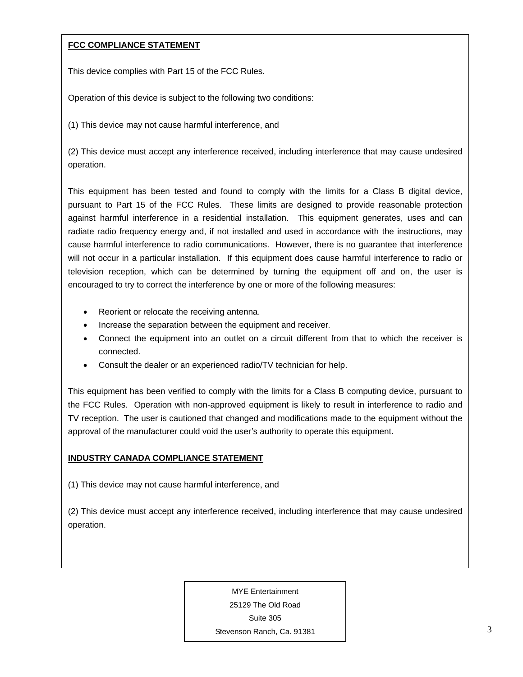#### **FCC COMPLIANCE STATEMENT**

This device complies with Part 15 of the FCC Rules.

Operation of this device is subject to the following two conditions:

(1) This device may not cause harmful interference, and

(2) This device must accept any interference received, including interference that may cause undesired operation.

This equipment has been tested and found to comply with the limits for a Class B digital device, pursuant to Part 15 of the FCC Rules. These limits are designed to provide reasonable protection against harmful interference in a residential installation. This equipment generates, uses and can radiate radio frequency energy and, if not installed and used in accordance with the instructions, may cause harmful interference to radio communications. However, there is no guarantee that interference will not occur in a particular installation. If this equipment does cause harmful interference to radio or television reception, which can be determined by turning the equipment off and on, the user is encouraged to try to correct the interference by one or more of the following measures:

- Reorient or relocate the receiving antenna.
- Increase the separation between the equipment and receiver.
- Connect the equipment into an outlet on a circuit different from that to which the receiver is connected.
- Consult the dealer or an experienced radio/TV technician for help.

This equipment has been verified to comply with the limits for a Class B computing device, pursuant to the FCC Rules. Operation with non-approved equipment is likely to result in interference to radio and TV reception. The user is cautioned that changed and modifications made to the equipment without the approval of the manufacturer could void the user's authority to operate this equipment.

#### **INDUSTRY CANADA COMPLIANCE STATEMENT**

(1) This device may not cause harmful interference, and

(2) This device must accept any interference received, including interference that may cause undesired operation.

MYE Entertainment

25129 The Old Road

Suite 305

Stevenson Ranch, Ca. 91381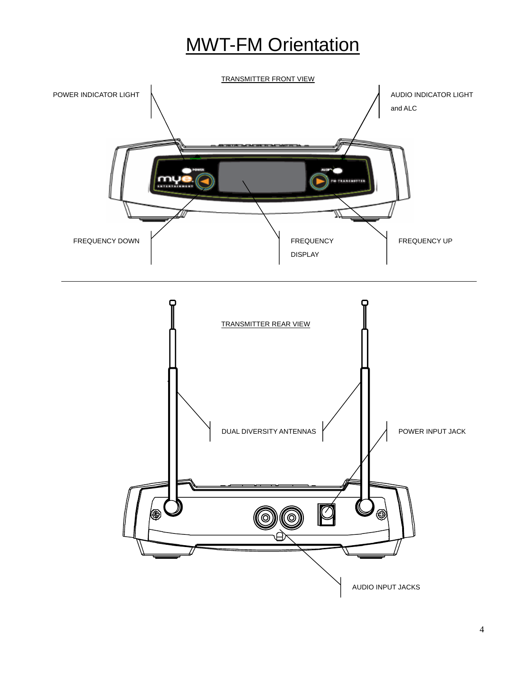# **MWT-FM Orientation**



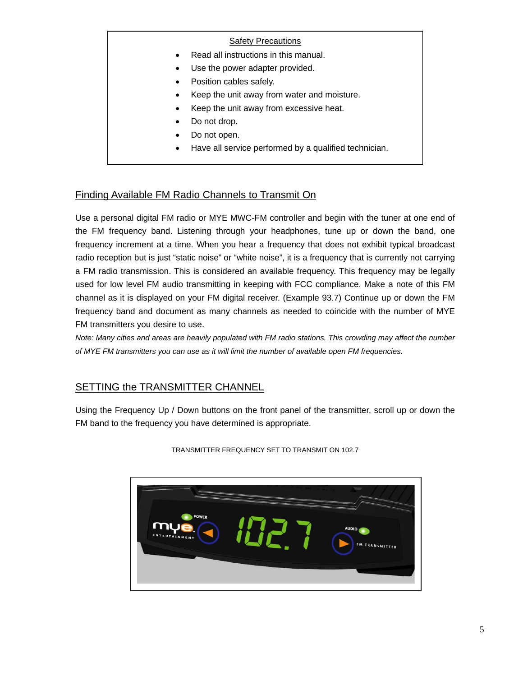#### **Safety Precautions**

- Read all instructions in this manual.
- Use the power adapter provided.
- Position cables safely.
- Keep the unit away from water and moisture.
- Keep the unit away from excessive heat.
- Do not drop.
- Do not open.
- Have all service performed by a qualified technician.

## Finding Available FM Radio Channels to Transmit On

Use a personal digital FM radio or MYE MWC-FM controller and begin with the tuner at one end of the FM frequency band. Listening through your headphones, tune up or down the band, one frequency increment at a time. When you hear a frequency that does not exhibit typical broadcast radio reception but is just "static noise" or "white noise", it is a frequency that is currently not carrying a FM radio transmission. This is considered an available frequency. This frequency may be legally used for low level FM audio transmitting in keeping with FCC compliance. Make a note of this FM channel as it is displayed on your FM digital receiver. (Example 93.7) Continue up or down the FM frequency band and document as many channels as needed to coincide with the number of MYE FM transmitters you desire to use.

*Note: Many cities and areas are heavily populated with FM radio stations. This crowding may affect the number of MYE FM transmitters you can use as it will limit the number of available open FM frequencies.* 

## SETTING the TRANSMITTER CHANNEL

Using the Frequency Up / Down buttons on the front panel of the transmitter, scroll up or down the FM band to the frequency you have determined is appropriate.



TRANSMITTER FREQUENCY SET TO TRANSMIT ON 102.7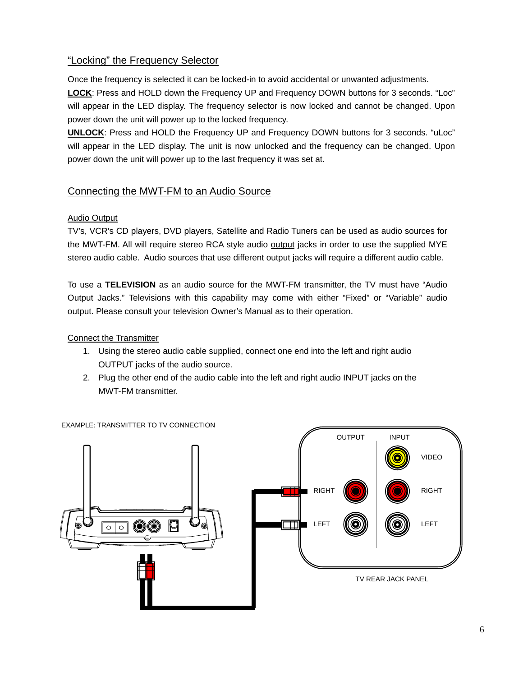## "Locking" the Frequency Selector

Once the frequency is selected it can be locked-in to avoid accidental or unwanted adjustments.

**LOCK**: Press and HOLD down the Frequency UP and Frequency DOWN buttons for 3 seconds. "Loc" will appear in the LED display. The frequency selector is now locked and cannot be changed. Upon power down the unit will power up to the locked frequency.

**UNLOCK**: Press and HOLD the Frequency UP and Frequency DOWN buttons for 3 seconds. "uLoc" will appear in the LED display. The unit is now unlocked and the frequency can be changed. Upon power down the unit will power up to the last frequency it was set at.

#### Connecting the MWT-FM to an Audio Source

#### Audio Output

TV's, VCR's CD players, DVD players, Satellite and Radio Tuners can be used as audio sources for the MWT-FM. All will require stereo RCA style audio output jacks in order to use the supplied MYE stereo audio cable. Audio sources that use different output jacks will require a different audio cable.

To use a **TELEVISION** as an audio source for the MWT-FM transmitter, the TV must have "Audio Output Jacks." Televisions with this capability may come with either "Fixed" or "Variable" audio output. Please consult your television Owner's Manual as to their operation.

Connect the Transmitter

- 1. Using the stereo audio cable supplied, connect one end into the left and right audio OUTPUT jacks of the audio source.
- 2. Plug the other end of the audio cable into the left and right audio INPUT jacks on the MWT-FM transmitter.



EXAMPLE: TRANSMITTER TO TV CONNECTION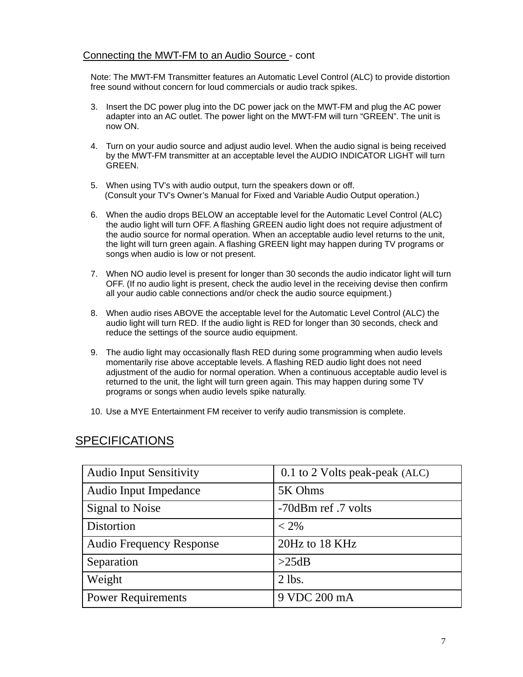#### Connecting the MWT-FM to an Audio Source - cont

Note: The MWT-FM Transmitter features an Automatic Level Control (ALC) to provide distortion free sound without concern for loud commercials or audio track spikes.

- 3. Insert the DC power plug into the DC power jack on the MWT-FM and plug the AC power adapter into an AC outlet. The power light on the MWT-FM will turn "GREEN". The unit is now ON.
- 4. Turn on your audio source and adjust audio level. When the audio signal is being received by the MWT-FM transmitter at an acceptable level the AUDIO INDICATOR LIGHT will turn GREEN.
- 5. When using TV's with audio output, turn the speakers down or off. (Consult your TV's Owner's Manual for Fixed and Variable Audio Output operation.)
- 6. When the audio drops BELOW an acceptable level for the Automatic Level Control (ALC) the audio light will turn OFF. A flashing GREEN audio light does not require adjustment of the audio source for normal operation. When an acceptable audio level returns to the unit, the light will turn green again. A flashing GREEN light may happen during TV programs or songs when audio is low or not present.
- 7. When NO audio level is present for longer than 30 seconds the audio indicator light will turn OFF. (If no audio light is present, check the audio level in the receiving devise then confirm all your audio cable connections and/or check the audio source equipment.)
- 8. When audio rises ABOVE the acceptable level for the Automatic Level Control (ALC) the audio light will turn RED. If the audio light is RED for longer than 30 seconds, check and reduce the settings of the source audio equipment.
- 9. The audio light may occasionally flash RED during some programming when audio levels momentarily rise above acceptable levels. A flashing RED audio light does not need adjustment of the audio for normal operation. When a continuous acceptable audio level is returned to the unit, the light will turn green again. This may happen during some TV programs or songs when audio levels spike naturally.
- 10. Use a MYE Entertainment FM receiver to verify audio transmission is complete.

| <b>Audio Input Sensitivity</b>  | 0.1 to 2 Volts peak-peak (ALC) |
|---------------------------------|--------------------------------|
| Audio Input Impedance           | 5K Ohms                        |
| <b>Signal to Noise</b>          | -70dBm ref.7 volts             |
| Distortion                      | $< 2\%$                        |
| <b>Audio Frequency Response</b> | 20Hz to 18 KHz                 |
| Separation                      | >25dB                          |
| Weight                          | $2$ lbs.                       |
| <b>Power Requirements</b>       | 9 VDC 200 mA                   |

# **SPECIFICATIONS**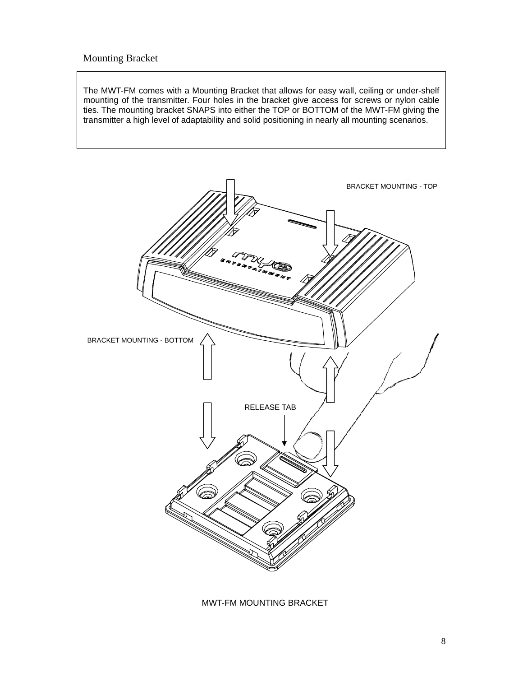#### Mounting Bracket

The MWT-FM comes with a Mounting Bracket that allows for easy wall, ceiling or under-shelf mounting of the transmitter. Four holes in the bracket give access for screws or nylon cable ties. The mounting bracket SNAPS into either the TOP or BOTTOM of the MWT-FM giving the transmitter a high level of adaptability and solid positioning in nearly all mounting scenarios.



MWT-FM MOUNTING BRACKET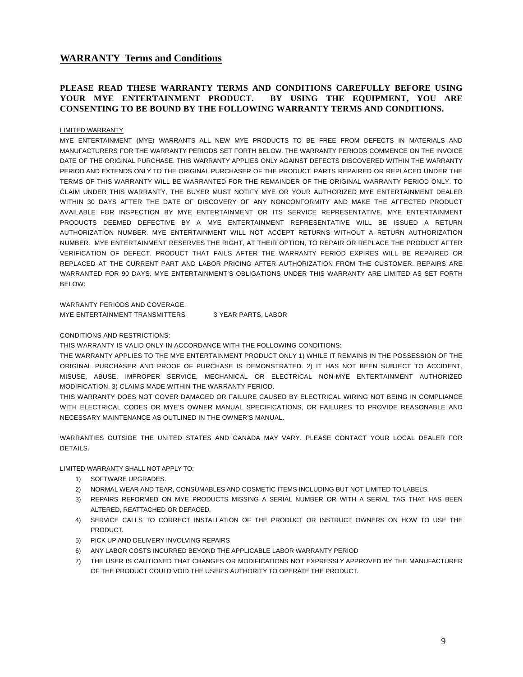#### **WARRANTY Terms and Conditions**

#### **PLEASE READ THESE WARRANTY TERMS AND CONDITIONS CAREFULLY BEFORE USING YOUR MYE ENTERTAINMENT PRODUCT. BY USING THE EQUIPMENT, YOU ARE CONSENTING TO BE BOUND BY THE FOLLOWING WARRANTY TERMS AND CONDITIONS.**

#### LIMITED WARRANTY

MYE ENTERTAINMENT (MYE) WARRANTS ALL NEW MYE PRODUCTS TO BE FREE FROM DEFECTS IN MATERIALS AND MANUFACTURERS FOR THE WARRANTY PERIODS SET FORTH BELOW. THE WARRANTY PERIODS COMMENCE ON THE INVOICE DATE OF THE ORIGINAL PURCHASE. THIS WARRANTY APPLIES ONLY AGAINST DEFECTS DISCOVERED WITHIN THE WARRANTY PERIOD AND EXTENDS ONLY TO THE ORIGINAL PURCHASER OF THE PRODUCT. PARTS REPAIRED OR REPLACED UNDER THE TERMS OF THIS WARRANTY WILL BE WARRANTED FOR THE REMAINDER OF THE ORIGINAL WARRANTY PERIOD ONLY. TO CLAIM UNDER THIS WARRANTY, THE BUYER MUST NOTIFY MYE OR YOUR AUTHORIZED MYE ENTERTAINMENT DEALER WITHIN 30 DAYS AFTER THE DATE OF DISCOVERY OF ANY NONCONFORMITY AND MAKE THE AFFECTED PRODUCT AVAILABLE FOR INSPECTION BY MYE ENTERTAINMENT OR ITS SERVICE REPRESENTATIVE. MYE ENTERTAINMENT PRODUCTS DEEMED DEFECTIVE BY A MYE ENTERTAINMENT REPRESENTATIVE WILL BE ISSUED A RETURN AUTHORIZATION NUMBER. MYE ENTERTAINMENT WILL NOT ACCEPT RETURNS WITHOUT A RETURN AUTHORIZATION NUMBER. MYE ENTERTAINMENT RESERVES THE RIGHT, AT THEIR OPTION, TO REPAIR OR REPLACE THE PRODUCT AFTER VERIFICATION OF DEFECT. PRODUCT THAT FAILS AFTER THE WARRANTY PERIOD EXPIRES WILL BE REPAIRED OR REPLACED AT THE CURRENT PART AND LABOR PRICING AFTER AUTHORIZATION FROM THE CUSTOMER. REPAIRS ARE WARRANTED FOR 90 DAYS. MYE ENTERTAINMENT'S OBLIGATIONS UNDER THIS WARRANTY ARE LIMITED AS SET FORTH BELOW:

WARRANTY PERIODS AND COVERAGE:

MYE ENTERTAINMENT TRANSMITTERS 3 YEAR PARTS, LABOR

#### CONDITIONS AND RESTRICTIONS:

THIS WARRANTY IS VALID ONLY IN ACCORDANCE WITH THE FOLLOWING CONDITIONS:

THE WARRANTY APPLIES TO THE MYE ENTERTAINMENT PRODUCT ONLY 1) WHILE IT REMAINS IN THE POSSESSION OF THE ORIGINAL PURCHASER AND PROOF OF PURCHASE IS DEMONSTRATED. 2) IT HAS NOT BEEN SUBJECT TO ACCIDENT, MISUSE, ABUSE, IMPROPER SERVICE, MECHANICAL OR ELECTRICAL NON-MYE ENTERTAINMENT AUTHORIZED MODIFICATION. 3) CLAIMS MADE WITHIN THE WARRANTY PERIOD.

THIS WARRANTY DOES NOT COVER DAMAGED OR FAILURE CAUSED BY ELECTRICAL WIRING NOT BEING IN COMPLIANCE WITH ELECTRICAL CODES OR MYE'S OWNER MANUAL SPECIFICATIONS, OR FAILURES TO PROVIDE REASONABLE AND NECESSARY MAINTENANCE AS OUTLINED IN THE OWNER'S MANUAL.

WARRANTIES OUTSIDE THE UNITED STATES AND CANADA MAY VARY. PLEASE CONTACT YOUR LOCAL DEALER FOR DETAILS.

LIMITED WARRANTY SHALL NOT APPLY TO:

- 1) SOFTWARE UPGRADES.
- 2) NORMAL WEAR AND TEAR, CONSUMABLES AND COSMETIC ITEMS INCLUDING BUT NOT LIMITED TO LABELS.
- 3) REPAIRS REFORMED ON MYE PRODUCTS MISSING A SERIAL NUMBER OR WITH A SERIAL TAG THAT HAS BEEN ALTERED, REATTACHED OR DEFACED.
- 4) SERVICE CALLS TO CORRECT INSTALLATION OF THE PRODUCT OR INSTRUCT OWNERS ON HOW TO USE THE PRODUCT.
- 5) PICK UP AND DELIVERY INVOLVING REPAIRS
- 6) ANY LABOR COSTS INCURRED BEYOND THE APPLICABLE LABOR WARRANTY PERIOD
- 7) THE USER IS CAUTIONED THAT CHANGES OR MODIFICATIONS NOT EXPRESSLY APPROVED BY THE MANUFACTURER OF THE PRODUCT COULD VOID THE USER'S AUTHORITY TO OPERATE THE PRODUCT.